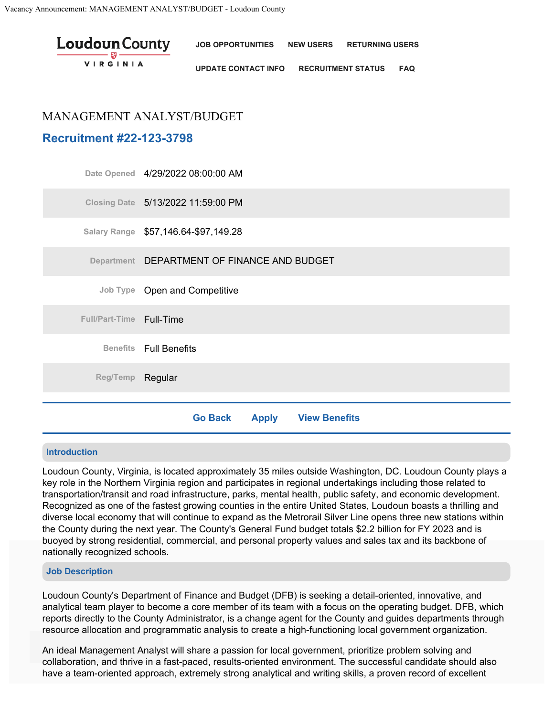| <b>Loudoun</b> County<br>$\frac{1}{\sqrt{2\pi}}\frac{1}{\sqrt{2\pi}}\frac{1}{\sqrt{2\pi}}\frac{1}{\sqrt{2\pi}}\frac{1}{\sqrt{2\pi}}\frac{1}{\sqrt{2\pi}}\frac{1}{\sqrt{2\pi}}\frac{1}{\sqrt{2\pi}}\frac{1}{\sqrt{2\pi}}\frac{1}{\sqrt{2\pi}}\frac{1}{\sqrt{2\pi}}\frac{1}{\sqrt{2\pi}}\frac{1}{\sqrt{2\pi}}\frac{1}{\sqrt{2\pi}}\frac{1}{\sqrt{2\pi}}\frac{1}{\sqrt{2\pi}}\frac{1}{\sqrt{2\pi}}\frac{1}{\sqrt{2\pi}}\frac{1$<br><b>VIRGINIA</b> | JOB OPPORTUNITIES NEW USERS RETURNING USERS                 |  |  |  |
|-------------------------------------------------------------------------------------------------------------------------------------------------------------------------------------------------------------------------------------------------------------------------------------------------------------------------------------------------------------------------------------------------------------------------------------------------|-------------------------------------------------------------|--|--|--|
|                                                                                                                                                                                                                                                                                                                                                                                                                                                 | <b>UPDATE CONTACT INFO</b><br><b>RECRUITMENT STATUS FAQ</b> |  |  |  |

# MANAGEMENT ANALYST/BUDGET

# **Recruitment #22-123-3798**

|                          | <b>View Benefits</b><br><b>Go Back</b><br><b>Apply</b> |
|--------------------------|--------------------------------------------------------|
|                          |                                                        |
| Reg/Temp Regular         |                                                        |
|                          | <b>Benefits</b> Full Benefits                          |
| Full/Part-Time Full-Time |                                                        |
|                          | Job Type Open and Competitive                          |
|                          | Department DEPARTMENT OF FINANCE AND BUDGET            |
|                          | Salary Range \$57,146.64-\$97,149.28                   |
|                          | Closing Date 5/13/2022 11:59:00 PM                     |
|                          | Date Opened 4/29/2022 08:00:00 AM                      |

## **Introduction**

Loudoun County, Virginia, is located approximately 35 miles outside Washington, DC. Loudoun County plays a key role in the Northern Virginia region and participates in regional undertakings including those related to transportation/transit and road infrastructure, parks, mental health, public safety, and economic development. Recognized as one of the fastest growing counties in the entire United States, Loudoun boasts a thrilling and diverse local economy that will continue to expand as the Metrorail Silver Line opens three new stations within the County during the next year. The County's General Fund budget totals \$2.2 billion for FY 2023 and is buoyed by strong residential, commercial, and personal property values and sales tax and its backbone of nationally recognized schools.

# **Job Description**

Loudoun County's Department of Finance and Budget (DFB) is seeking a detail-oriented, innovative, and analytical team player to become a core member of its team with a focus on the operating budget. DFB, which reports directly to the County Administrator, is a change agent for the County and guides departments through resource allocation and programmatic analysis to create a high-functioning local government organization. Our sites use cookies to enable functionality, analyze visitor traffic, and deliver a better user experience. By clicking 'Accept'

An ideal Management Analyst will share a passion for local government, prioritize problem solving and collaboration, and thrive in a fast-paced, results-oriented environment. The successful candidate should also have a team-oriented approach, extremely strong analytical and writing skills, a proven record of excellent